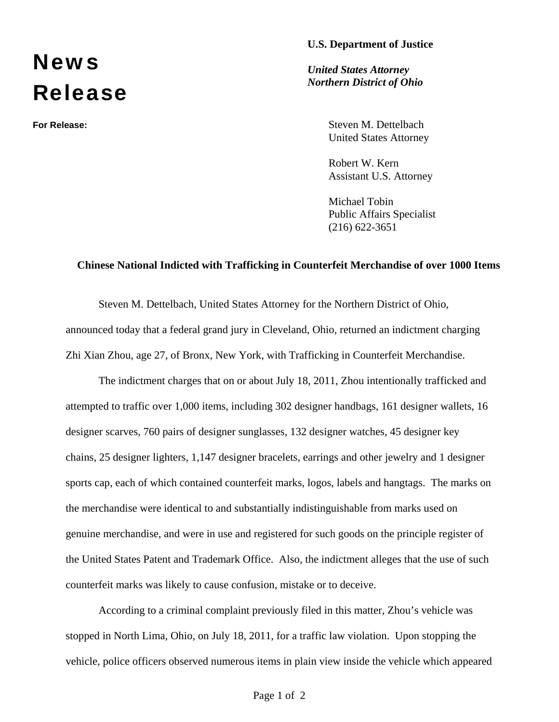## **U.S. Department of Justice**

## **News** Release

*United States Attorney Northern District of Ohio*

**For Release:** Steven M. Dettelbach United States Attorney

> Robert W. Kern Assistant U.S. Attorney

Michael Tobin Public Affairs Specialist (216) 622-3651

## **Chinese National Indicted with Trafficking in Counterfeit Merchandise of over 1000 Items**

Steven M. Dettelbach, United States Attorney for the Northern District of Ohio, announced today that a federal grand jury in Cleveland, Ohio, returned an indictment charging Zhi Xian Zhou, age 27, of Bronx, New York, with Trafficking in Counterfeit Merchandise.

The indictment charges that on or about July 18, 2011, Zhou intentionally trafficked and attempted to traffic over 1,000 items, including 302 designer handbags, 161 designer wallets, 16 designer scarves, 760 pairs of designer sunglasses, 132 designer watches, 45 designer key chains, 25 designer lighters, 1,147 designer bracelets, earrings and other jewelry and 1 designer sports cap, each of which contained counterfeit marks, logos, labels and hangtags. The marks on the merchandise were identical to and substantially indistinguishable from marks used on genuine merchandise, and were in use and registered for such goods on the principle register of the United States Patent and Trademark Office. Also, the indictment alleges that the use of such counterfeit marks was likely to cause confusion, mistake or to deceive.

According to a criminal complaint previously filed in this matter, Zhou's vehicle was stopped in North Lima, Ohio, on July 18, 2011, for a traffic law violation. Upon stopping the vehicle, police officers observed numerous items in plain view inside the vehicle which appeared